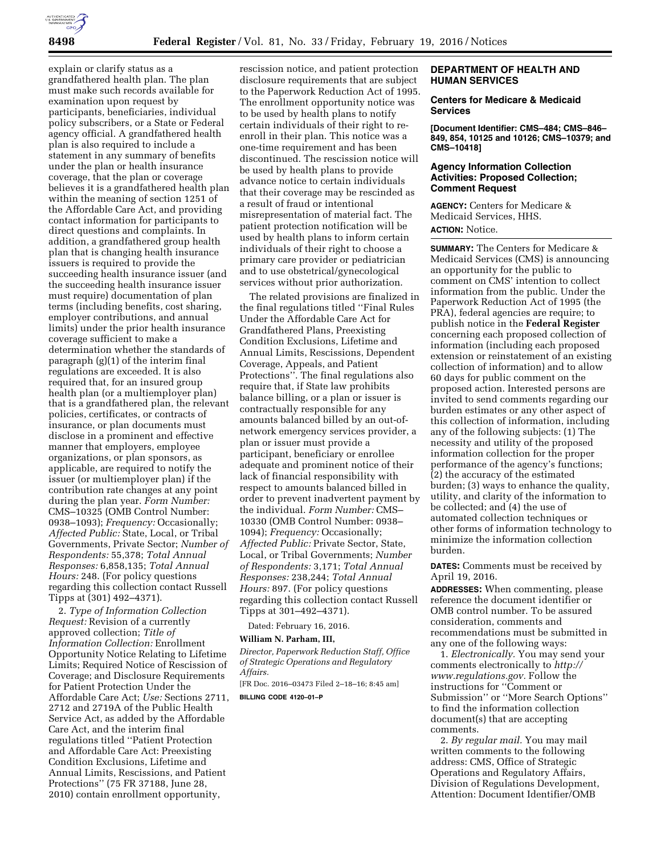

explain or clarify status as a grandfathered health plan. The plan must make such records available for examination upon request by participants, beneficiaries, individual policy subscribers, or a State or Federal agency official. A grandfathered health plan is also required to include a statement in any summary of benefits under the plan or health insurance coverage, that the plan or coverage believes it is a grandfathered health plan within the meaning of section 1251 of the Affordable Care Act, and providing contact information for participants to direct questions and complaints. In addition, a grandfathered group health plan that is changing health insurance issuers is required to provide the succeeding health insurance issuer (and the succeeding health insurance issuer must require) documentation of plan terms (including benefits, cost sharing, employer contributions, and annual limits) under the prior health insurance coverage sufficient to make a determination whether the standards of paragraph (g)(1) of the interim final regulations are exceeded. It is also required that, for an insured group health plan (or a multiemployer plan) that is a grandfathered plan, the relevant policies, certificates, or contracts of insurance, or plan documents must disclose in a prominent and effective manner that employers, employee organizations, or plan sponsors, as applicable, are required to notify the issuer (or multiemployer plan) if the contribution rate changes at any point during the plan year. *Form Number:*  CMS–10325 (OMB Control Number: 0938–1093); *Frequency:* Occasionally; *Affected Public:* State, Local, or Tribal Governments, Private Sector; *Number of Respondents:* 55,378; *Total Annual Responses:* 6,858,135; *Total Annual Hours:* 248. (For policy questions regarding this collection contact Russell Tipps at (301) 492–4371).

2. *Type of Information Collection Request:* Revision of a currently approved collection; *Title of Information Collection:* Enrollment Opportunity Notice Relating to Lifetime Limits; Required Notice of Rescission of Coverage; and Disclosure Requirements for Patient Protection Under the Affordable Care Act; *Use:* Sections 2711, 2712 and 2719A of the Public Health Service Act, as added by the Affordable Care Act, and the interim final regulations titled ''Patient Protection and Affordable Care Act: Preexisting Condition Exclusions, Lifetime and Annual Limits, Rescissions, and Patient Protections'' (75 FR 37188, June 28, 2010) contain enrollment opportunity,

rescission notice, and patient protection disclosure requirements that are subject to the Paperwork Reduction Act of 1995. The enrollment opportunity notice was to be used by health plans to notify certain individuals of their right to reenroll in their plan. This notice was a one-time requirement and has been discontinued. The rescission notice will be used by health plans to provide advance notice to certain individuals that their coverage may be rescinded as a result of fraud or intentional misrepresentation of material fact. The patient protection notification will be used by health plans to inform certain individuals of their right to choose a primary care provider or pediatrician and to use obstetrical/gynecological services without prior authorization.

The related provisions are finalized in the final regulations titled ''Final Rules Under the Affordable Care Act for Grandfathered Plans, Preexisting Condition Exclusions, Lifetime and Annual Limits, Rescissions, Dependent Coverage, Appeals, and Patient Protections''. The final regulations also require that, if State law prohibits balance billing, or a plan or issuer is contractually responsible for any amounts balanced billed by an out-ofnetwork emergency services provider, a plan or issuer must provide a participant, beneficiary or enrollee adequate and prominent notice of their lack of financial responsibility with respect to amounts balanced billed in order to prevent inadvertent payment by the individual. *Form Number:* CMS– 10330 (OMB Control Number: 0938– 1094); *Frequency:* Occasionally; *Affected Public:* Private Sector, State, Local, or Tribal Governments; *Number of Respondents:* 3,171; *Total Annual Responses:* 238,244; *Total Annual Hours:* 897. (For policy questions regarding this collection contact Russell Tipps at 301–492–4371).

Dated: February 16, 2016.

### **William N. Parham, III,**

*Director, Paperwork Reduction Staff, Office of Strategic Operations and Regulatory Affairs.* 

[FR Doc. 2016–03473 Filed 2–18–16; 8:45 am]

**BILLING CODE 4120–01–P** 

# **DEPARTMENT OF HEALTH AND HUMAN SERVICES**

### **Centers for Medicare & Medicaid Services**

**[Document Identifier: CMS–484; CMS–846– 849, 854, 10125 and 10126; CMS–10379; and CMS–10418]** 

# **Agency Information Collection Activities: Proposed Collection; Comment Request**

**AGENCY:** Centers for Medicare & Medicaid Services, HHS. **ACTION:** Notice.

**SUMMARY:** The Centers for Medicare & Medicaid Services (CMS) is announcing an opportunity for the public to comment on CMS' intention to collect information from the public. Under the Paperwork Reduction Act of 1995 (the PRA), federal agencies are require; to publish notice in the **Federal Register**  concerning each proposed collection of information (including each proposed extension or reinstatement of an existing collection of information) and to allow 60 days for public comment on the proposed action. Interested persons are invited to send comments regarding our burden estimates or any other aspect of this collection of information, including any of the following subjects: (1) The necessity and utility of the proposed information collection for the proper performance of the agency's functions; (2) the accuracy of the estimated burden; (3) ways to enhance the quality, utility, and clarity of the information to be collected; and (4) the use of automated collection techniques or other forms of information technology to minimize the information collection burden.

**DATES:** Comments must be received by April 19, 2016.

**ADDRESSES:** When commenting, please reference the document identifier or OMB control number. To be assured consideration, comments and recommendations must be submitted in any one of the following ways:

1. *Electronically.* You may send your comments electronically to *[http://](http://www.regulations.gov) [www.regulations.gov.](http://www.regulations.gov)* Follow the instructions for ''Comment or Submission'' or ''More Search Options'' to find the information collection document(s) that are accepting comments.

2. *By regular mail.* You may mail written comments to the following address: CMS, Office of Strategic Operations and Regulatory Affairs, Division of Regulations Development, Attention: Document Identifier/OMB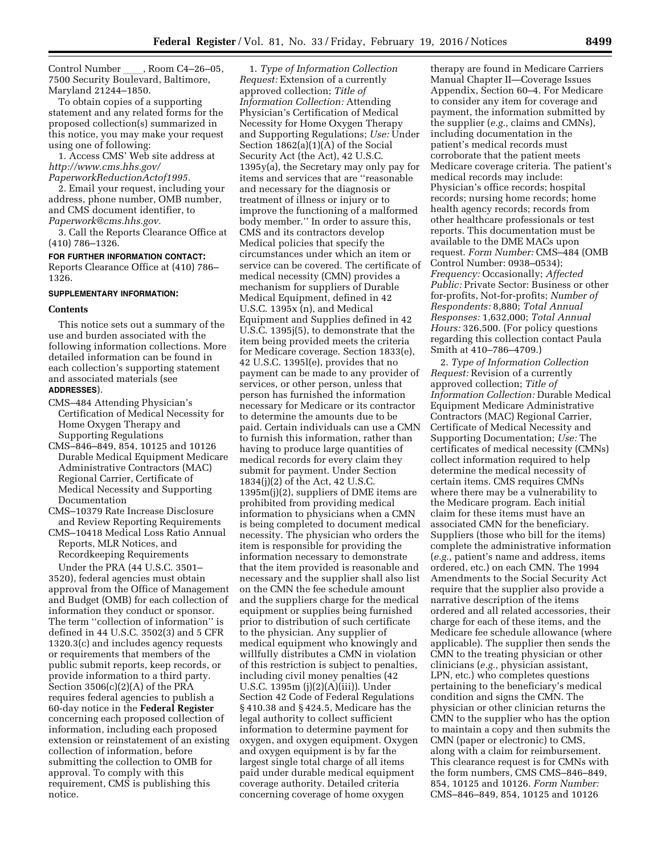Control Number \_\_\_\_, Room C4–26–05,<br>7500 Security Boulevard, Baltimore, Maryland 21244–1850.

To obtain copies of a supporting statement and any related forms for the proposed collection(s) summarized in this notice, you may make your request using one of following:

1. Access CMS' Web site address at *[http://www.cms.hhs.gov/](http://www.cms.hhs.gov/PaperworkReductionActof1995) [PaperworkReductionActof1995.](http://www.cms.hhs.gov/PaperworkReductionActof1995)* 

2. Email your request, including your address, phone number, OMB number, and CMS document identifier, to *[Paperwork@cms.hhs.gov.](mailto:Paperwork@cms.hhs.gov)* 

3. Call the Reports Clearance Office at (410) 786–1326.

**FOR FURTHER INFORMATION CONTACT:**  Reports Clearance Office at (410) 786– 1326.

### **SUPPLEMENTARY INFORMATION:**

#### **Contents**

This notice sets out a summary of the use and burden associated with the following information collections. More detailed information can be found in each collection's supporting statement and associated materials (see **ADDRESSES**).

- CMS–484 Attending Physician's Certification of Medical Necessity for Home Oxygen Therapy and Supporting Regulations
- CMS–846–849, 854, 10125 and 10126 Durable Medical Equipment Medicare Administrative Contractors (MAC) Regional Carrier, Certificate of Medical Necessity and Supporting Documentation
- CMS–10379 Rate Increase Disclosure and Review Reporting Requirements
- CMS–10418 Medical Loss Ratio Annual Reports, MLR Notices, and Recordkeeping Requirements

Under the PRA (44 U.S.C. 3501– 3520), federal agencies must obtain approval from the Office of Management and Budget (OMB) for each collection of information they conduct or sponsor. The term ''collection of information'' is defined in 44 U.S.C. 3502(3) and 5 CFR 1320.3(c) and includes agency requests or requirements that members of the public submit reports, keep records, or provide information to a third party. Section 3506(c)(2)(A) of the PRA requires federal agencies to publish a 60-day notice in the **Federal Register**  concerning each proposed collection of information, including each proposed extension or reinstatement of an existing collection of information, before submitting the collection to OMB for approval. To comply with this requirement, CMS is publishing this notice.

1. *Type of Information Collection Request:* Extension of a currently approved collection; *Title of Information Collection:* Attending Physician's Certification of Medical Necessity for Home Oxygen Therapy and Supporting Regulations; *Use:* Under Section 1862(a)(1)(A) of the Social Security Act (the Act), 42 U.S.C. 1395y(a), the Secretary may only pay for items and services that are ''reasonable and necessary for the diagnosis or treatment of illness or injury or to improve the functioning of a malformed body member.'' In order to assure this, CMS and its contractors develop Medical policies that specify the circumstances under which an item or service can be covered. The certificate of medical necessity (CMN) provides a mechanism for suppliers of Durable Medical Equipment, defined in 42 U.S.C. 1395x (n), and Medical Equipment and Supplies defined in 42 U.S.C. 1395j(5), to demonstrate that the item being provided meets the criteria for Medicare coverage. Section 1833(e), 42 U.S.C. 1395l(e), provides that no payment can be made to any provider of services, or other person, unless that person has furnished the information necessary for Medicare or its contractor to determine the amounts due to be paid. Certain individuals can use a CMN to furnish this information, rather than having to produce large quantities of medical records for every claim they submit for payment. Under Section 1834(j)(2) of the Act, 42 U.S.C. 1395m(j)(2), suppliers of DME items are prohibited from providing medical information to physicians when a CMN is being completed to document medical necessity. The physician who orders the item is responsible for providing the information necessary to demonstrate that the item provided is reasonable and necessary and the supplier shall also list on the CMN the fee schedule amount and the suppliers charge for the medical equipment or supplies being furnished prior to distribution of such certificate to the physician. Any supplier of medical equipment who knowingly and willfully distributes a CMN in violation of this restriction is subject to penalties, including civil money penalties (42 U.S.C. 1395m (j)(2)(A)(iii)). Under Section 42 Code of Federal Regulations § 410.38 and § 424.5, Medicare has the legal authority to collect sufficient information to determine payment for oxygen, and oxygen equipment. Oxygen and oxygen equipment is by far the largest single total charge of all items paid under durable medical equipment coverage authority. Detailed criteria concerning coverage of home oxygen

therapy are found in Medicare Carriers Manual Chapter II—Coverage Issues Appendix, Section 60–4. For Medicare to consider any item for coverage and payment, the information submitted by the supplier (*e.g.,* claims and CMNs), including documentation in the patient's medical records must corroborate that the patient meets Medicare coverage criteria. The patient's medical records may include: Physician's office records; hospital records; nursing home records; home health agency records; records from other healthcare professionals or test reports. This documentation must be available to the DME MACs upon request. *Form Number:* CMS–484 (OMB Control Number: 0938–0534); *Frequency:* Occasionally; *Affected Public:* Private Sector: Business or other for-profits, Not-for-profits; *Number of Respondents:* 8,880; *Total Annual Responses:* 1,632,000; *Total Annual Hours:* 326,500. (For policy questions regarding this collection contact Paula Smith at 410–786–4709.)

2. *Type of Information Collection Request:* Revision of a currently approved collection; *Title of Information Collection:* Durable Medical Equipment Medicare Administrative Contractors (MAC) Regional Carrier, Certificate of Medical Necessity and Supporting Documentation; *Use:* The certificates of medical necessity (CMNs) collect information required to help determine the medical necessity of certain items. CMS requires CMNs where there may be a vulnerability to the Medicare program. Each initial claim for these items must have an associated CMN for the beneficiary. Suppliers (those who bill for the items) complete the administrative information (*e.g.,* patient's name and address, items ordered, etc.) on each CMN. The 1994 Amendments to the Social Security Act require that the supplier also provide a narrative description of the items ordered and all related accessories, their charge for each of these items, and the Medicare fee schedule allowance (where applicable). The supplier then sends the CMN to the treating physician or other clinicians (*e.g.,* physician assistant, LPN, etc.) who completes questions pertaining to the beneficiary's medical condition and signs the CMN. The physician or other clinician returns the CMN to the supplier who has the option to maintain a copy and then submits the CMN (paper or electronic) to CMS, along with a claim for reimbursement. This clearance request is for CMNs with the form numbers, CMS CMS–846–849, 854, 10125 and 10126. *Form Number:*  CMS–846–849, 854, 10125 and 10126